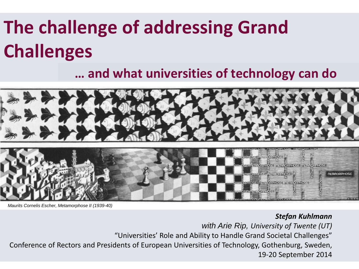### **The challenge of addressing Grand Challenges**

#### **… and what universities of technology can do**



*Maurits Cornelis Escher, Metamorphose II (1939-40)*

*Stefan Kuhlmann* 

*with Arie Rip, University of Twente (UT)* "Universities' Role and Ability to Handle Grand Societal Challenges" Conference of Rectors and Presidents of European Universities of Technology, Gothenburg, Sweden,

Stefan Kuhlmann | Adressing Grand Challenges | Gothenburg Sept 2014 | 1 **1** 19-20 September 2014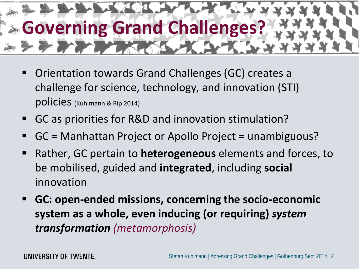

- Orientation towards Grand Challenges (GC) creates a challenge for science, technology, and innovation (STI) policies (Kuhlmann & Rip 2014)
- GC as priorities for R&D and innovation stimulation?
- GC = Manhattan Project or Apollo Project = unambiguous?
- Rather, GC pertain to **heterogeneous** elements and forces, to be mobilised, guided and **integrated**, including **social** innovation
- **GC: open-ended missions, concerning the socio-economic system as a whole, even inducing (or requiring)** *system transformation (metamorphosis)*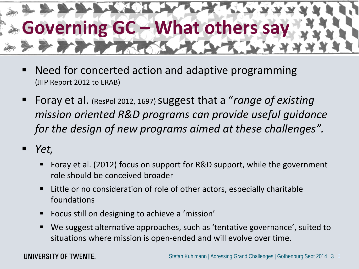

- Need for concerted action and adaptive programming (JIIP Report 2012 to ERAB)
- Foray et al. (ResPol 2012, 1697) suggest that a "*range of existing mission oriented R&D programs can provide useful guidance for the design of new programs aimed at these challenges".*
- *Yet,*
	- Foray et al. (2012) focus on support for R&D support, while the government role should be conceived broader
	- Little or no consideration of role of other actors, especially charitable foundations
	- Focus still on designing to achieve a 'mission'
	- We suggest alternative approaches, such as 'tentative governance', suited to situations where mission is open-ended and will evolve over time.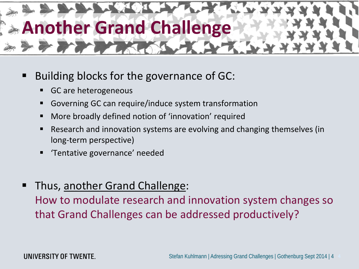

- Building blocks for the governance of GC:
	- GC are heterogeneous
	- Governing GC can require/induce system transformation
	- More broadly defined notion of 'innovation' required
	- Research and innovation systems are evolving and changing themselves (in long-term perspective)
	- 'Tentative governance' needed
- Thus, another Grand Challenge:

How to modulate research and innovation system changes so that Grand Challenges can be addressed productively?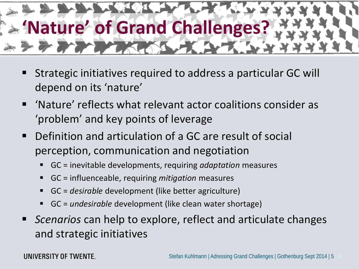

- Strategic initiatives required to address a particular GC will depend on its 'nature'
- 'Nature' reflects what relevant actor coalitions consider as 'problem' and key points of leverage
- Definition and articulation of a GC are result of social perception, communication and negotiation
	- GC = inevitable developments, requiring *adaptation* measures
	- GC = influenceable, requiring *mitigation* measures
	- GC = *desirable* development (like better agriculture)
	- GC = *undesirable* development (like clean water shortage)
- *Scenarios* can help to explore, reflect and articulate changes and strategic initiatives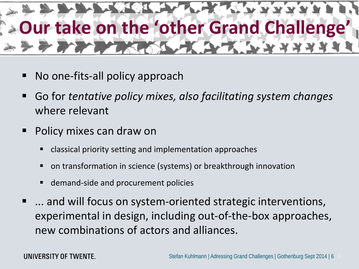# **Our take on the 'other Grand Challenge'** PER TRANS

- No one-fits-all policy approach
- Go for *tentative policy mixes, also facilitating system changes* where relevant
- Policy mixes can draw on
	- classical priority setting and implementation approaches
	- on transformation in science (systems) or breakthrough innovation
	- demand-side and procurement policies
- ... and will focus on system-oriented strategic interventions, experimental in design, including out-of-the-box approaches, new combinations of actors and alliances.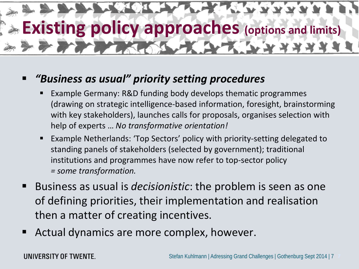# **Existing policy approaches (options and limits)**

#### *"Business as usual" priority setting procedures*

- Example Germany: R&D funding body develops thematic programmes (drawing on strategic intelligence-based information, foresight, brainstorming with key stakeholders), launches calls for proposals, organises selection with help of experts … *No transformative orientation!*
- Example Netherlands: 'Top Sectors' policy with priority-setting delegated to standing panels of stakeholders (selected by government); traditional institutions and programmes have now refer to top-sector policy *= some transformation.*
- Business as usual is *decisionistic*: the problem is seen as one of defining priorities, their implementation and realisation then a matter of creating incentives.
- Actual dynamics are more complex, however.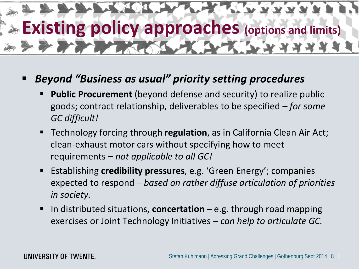

#### *Beyond "Business as usual" priority setting procedures*

- **Public Procurement** (beyond defense and security) to realize public goods; contract relationship, deliverables to be specified *– for some GC difficult!*
- Technology forcing through **regulation**, as in California Clean Air Act; clean-exhaust motor cars without specifying how to meet requirements *– not applicable to all GC!*
- Establishing **credibility pressures**, e.g. 'Green Energy'; companies expected to respond – *based on rather diffuse articulation of priorities in society.*
- In distributed situations, **concertation** e.g. through road mapping exercises or Joint Technology Initiatives *– can help to articulate GC.*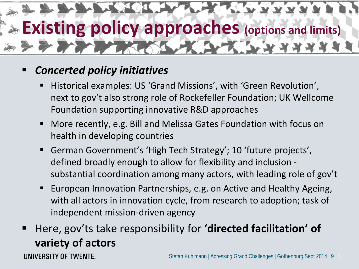

#### *Concerted policy initiatives*

- Historical examples: US 'Grand Missions', with 'Green Revolution', next to gov't also strong role of Rockefeller Foundation; UK Wellcome Foundation supporting innovative R&D approaches
- More recently, e.g. Bill and Melissa Gates Foundation with focus on health in developing countries
- German Government's 'High Tech Strategy'; 10 'future projects' , defined broadly enough to allow for flexibility and inclusion substantial coordination among many actors, with leading role of gov't
- European Innovation Partnerships, e.g. on Active and Healthy Ageing, with all actors in innovation cycle, from research to adoption; task of independent mission-driven agency
- Here, gov'ts take responsibility for **'directed facilitation' of variety of actors**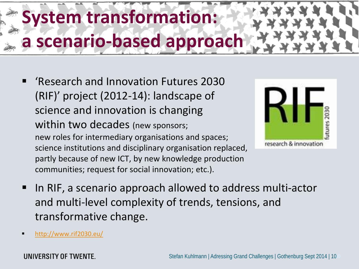### **iystem transformation: a scenario-based approach**

 'Research and Innovation Futures 2030 (RIF)' project (2012-14): landscape of science and innovation is changing within two decades (new sponsors; new roles for intermediary organisations and spaces; science institutions and disciplinary organisation replaced, partly because of new ICT, by new knowledge production communities; request for social innovation; etc.).



- In RIF, a scenario approach allowed to address multi-actor and multi-level complexity of trends, tensions, and transformative change.
- <http://www.rif2030.eu/>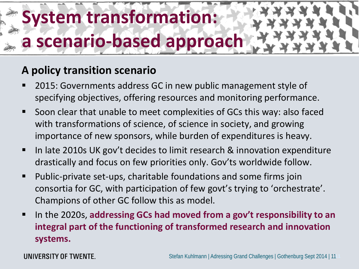### **System transformation: a scenario-based approach**

#### **A policy transition scenario**

- 2015: Governments address GC in new public management style of specifying objectives, offering resources and monitoring performance.
- Soon clear that unable to meet complexities of GCs this way: also faced with transformations of science, of science in society, and growing importance of new sponsors, while burden of expenditures is heavy.
- In late 2010s UK gov't decides to limit research & innovation expenditure drastically and focus on few priorities only. Gov'ts worldwide follow.
- Public-private set-ups, charitable foundations and some firms join consortia for GC, with participation of few govt's trying to 'orchestrate'. Champions of other GC follow this as model.
- In the 2020s, **addressing GCs had moved from a gov't responsibility to an integral part of the functioning of transformed research and innovation systems.**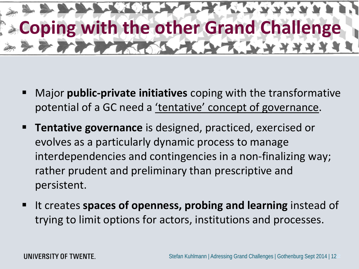

- Major **public-private initiatives** coping with the transformative potential of a GC need a 'tentative' concept of governance.
- **Tentative governance** is designed, practiced, exercised or evolves as a particularly dynamic process to manage interdependencies and contingencies in a non-finalizing way; rather prudent and preliminary than prescriptive and persistent.
- It creates **spaces of openness, probing and learning** instead of trying to limit options for actors, institutions and processes.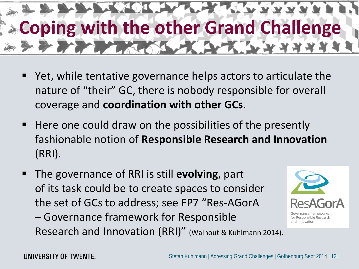

- Yet, while tentative governance helps actors to articulate the nature of "their" GC, there is nobody responsible for overall coverage and **coordination with other GCs**.
- Here one could draw on the possibilities of the presently fashionable notion of **Responsible Research and Innovation**  (RRI).
- The governance of RRI is still **evolving**, part of its task could be to create spaces to consider the set of GCs to address; see FP7 "Res-AGorA

– Governance framework for Responsible Research and Innovation (RRI)" (Walhout & Kuhlmann 2014).



for Responsible Research and Innovation

UNIVERSITY OF TWENTE.

Stefan Kuhlmann | Adressing Grand Challenges | Gothenburg Sept 2014 | 13**13**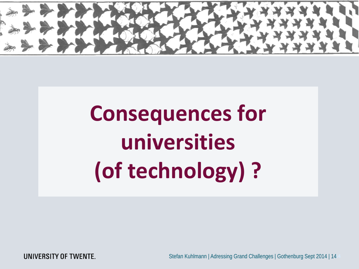

# **Consequences for universities (of technology) ?**

UNIVERSITY OF TWENTE.

Stefan Kuhlmann | Adressing Grand Challenges | Gothenburg Sept 2014 | 14**14**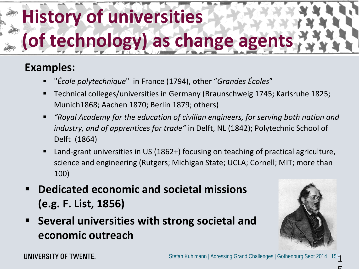# **History of universities**  (of technology) as change agent

#### **Examples:**

- "*École polytechnique*" in France (1794), other "*Grandes Écoles*"
- Technical colleges/universities in Germany (Braunschweig 1745; Karlsruhe 1825; Munich1868; Aachen 1870; Berlin 1879; others)
- *"Royal Academy for the education of civilian engineers, for serving both nation and industry, and of apprentices for trade"* in Delft, NL (1842); Polytechnic School of Delft (1864)
- Land-grant universities in US (1862+) focusing on teaching of practical agriculture, science and engineering (Rutgers; Michigan State; UCLA; Cornell; MIT; more than 100)
- **Dedicated economic and societal missions (e.g. F. List, 1856)**
- **Several universities with strong societal and economic outreach**

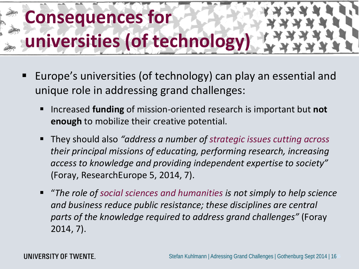

- Europe's universities (of technology) can play an essential and unique role in addressing grand challenges:
	- Increased **funding** of mission-oriented research is important but **not enough** to mobilize their creative potential.
	- They should also *"address a number of strategic issues cutting across their principal missions of educating, performing research, increasing access to knowledge and providing independent expertise to society"*  (Foray, ResearchEurope 5, 2014, 7).
	- "*The role of social sciences and humanities is not simply to help science and business reduce public resistance; these disciplines are central parts of the knowledge required to address grand challenges"* (Foray 2014, 7).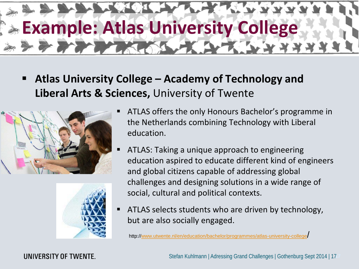

 **Atlas University College – Academy of Technology and Liberal Arts & Sciences,** University of Twente





- ATLAS offers the only Honours Bachelor's programme in the Netherlands combining Technology with Liberal education.
- ATLAS: Taking a unique approach to engineering education aspired to educate different kind of engineers and global citizens capable of addressing global challenges and designing solutions in a wide range of social, cultural and political contexts.
- ATLAS selects students who are driven by technology, but are also socially engaged.

http:/[/www.utwente.nl/en/education/bachelor/programmes/atlas-university-college/](http://www.utwente.nl/en/education/bachelor/programmes/atlas-university-college/)

UNIVERSITY OF TWENTE.

Stefan Kuhlmann | Adressing Grand Challenges | Gothenburg Sept 2014 | 17**17**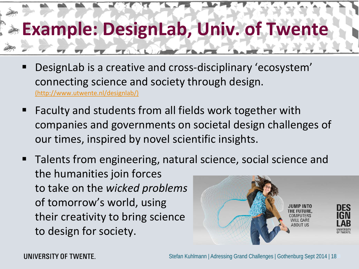### **Example: DesignLab, Univ. of Twente**

- DesignLab is a creative and cross-disciplinary 'ecosystem' connecting science and society through design.<br>[\(http://www.utwente.nl/designlab/\)](http://www.utwente.nl/designlab/)
- Faculty and students from all fields work together with companies and governments on societal design challenges of our times, inspired by novel scientific insights.
- Talents from engineering, natural science, social science and the humanities join forces to take on the *wicked problems* of tomorrow's world, using JUMP INTO DES their creativity to bring science AROLIT I IS to design for society.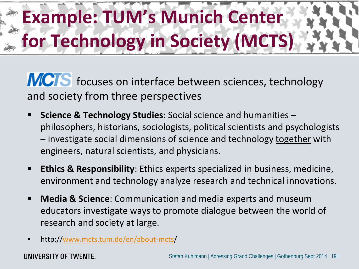## **Example: TUM's Munich Center for Technology in Society (MCTS)**

[MCTS](http://www.mcts.tum.de/en/about-mcts/) focuses on interface between sciences, technology and society from three perspectives

- **Science & Technology Studies:** Social science and humanities philosophers, historians, sociologists, political scientists and psychologists – investigate social dimensions of science and technology together with engineers, natural scientists, and physicians.
- **Ethics & Responsibility**: Ethics experts specialized in business, medicine, environment and technology analyze research and technical innovations.
- **Media & Science**: Communication and media experts and museum educators investigate ways to promote dialogue between the world of research and society at large.
- http://[www.mcts.tum.de/en/about-mcts/](http://www.mcts.tum.de/en/about-mcts/)

UNIVERSITY OF TWENTE.

Stefan Kuhlmann | Adressing Grand Challenges | Gothenburg Sept 2014 | 19**19**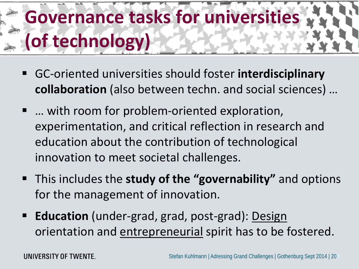### **Governance tasks for universities (of technology)**

- GC-oriented universities should foster **interdisciplinary collaboration** (also between techn. and social sciences) …
- ... with room for problem-oriented exploration, experimentation, and critical reflection in research and education about the contribution of technological innovation to meet societal challenges.
- This includes the **study of the "governability"** and options for the management of innovation.
- **Education** (under-grad, grad, post-grad): Design orientation and entrepreneurial spirit has to be fostered.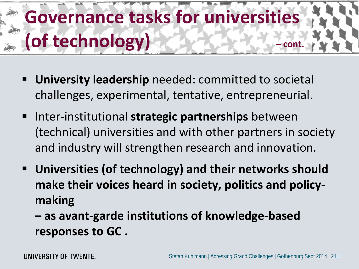### **Governance tasks for universities (of technology) – cont.**

- **University leadership** needed: committed to societal challenges, experimental, tentative, entrepreneurial.
- Inter-institutional **strategic partnerships** between (technical) universities and with other partners in society and industry will strengthen research and innovation.
- **Universities (of technology) and their networks should make their voices heard in society, politics and policymaking**

**– as avant-garde institutions of knowledge-based responses to GC .**